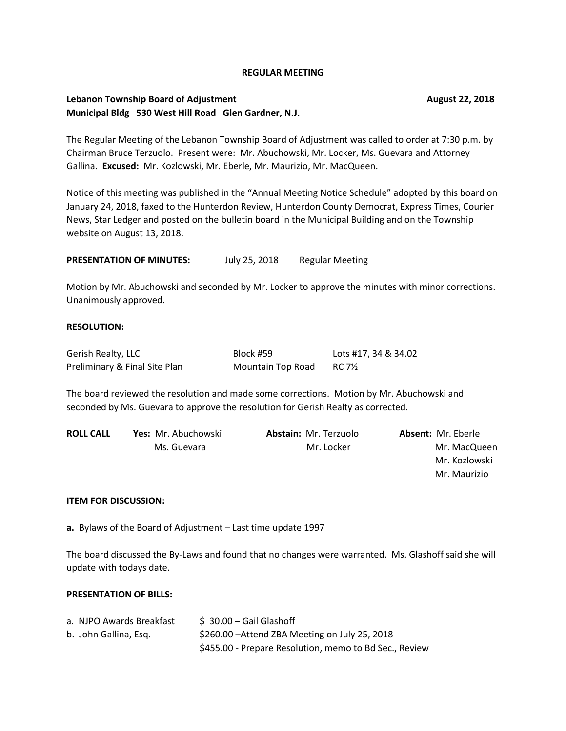#### **REGULAR MEETING**

# **Lebanon Township Board of Adjustment Community Community Community Community Community Community Community Community Community Community Community Community Community Community Community Community Community Community Comm Municipal Bldg 530 West Hill Road Glen Gardner, N.J.**

The Regular Meeting of the Lebanon Township Board of Adjustment was called to order at 7:30 p.m. by Chairman Bruce Terzuolo. Present were: Mr. Abuchowski, Mr. Locker, Ms. Guevara and Attorney Gallina. **Excused:** Mr. Kozlowski, Mr. Eberle, Mr. Maurizio, Mr. MacQueen.

Notice of this meeting was published in the "Annual Meeting Notice Schedule" adopted by this board on January 24, 2018, faxed to the Hunterdon Review, Hunterdon County Democrat, Express Times, Courier News, Star Ledger and posted on the bulletin board in the Municipal Building and on the Township website on August 13, 2018.

**PRESENTATION OF MINUTES:** July 25, 2018 Regular Meeting

Motion by Mr. Abuchowski and seconded by Mr. Locker to approve the minutes with minor corrections. Unanimously approved.

## **RESOLUTION:**

| Gerish Realty, LLC            | Block #59         | Lots #17, 34 & 34.02 |
|-------------------------------|-------------------|----------------------|
| Preliminary & Final Site Plan | Mountain Top Road | RC 7½                |

The board reviewed the resolution and made some corrections. Motion by Mr. Abuchowski and seconded by Ms. Guevara to approve the resolution for Gerish Realty as corrected.

| <b>ROLL CALL</b> | <b>Yes:</b> Mr. Abuchowski | <b>Abstain: Mr. Terzuolo</b> | <b>Absent: Mr. Eberle</b> |
|------------------|----------------------------|------------------------------|---------------------------|
| Ms. Guevara      | Mr. Locker                 | Mr. MacQueen                 |                           |
|                  |                            |                              | Mr. Kozlowski             |
|                  |                            |                              | Mr. Maurizio              |

#### **ITEM FOR DISCUSSION:**

**a.** Bylaws of the Board of Adjustment – Last time update 1997

The board discussed the By-Laws and found that no changes were warranted. Ms. Glashoff said she will update with todays date.

#### **PRESENTATION OF BILLS:**

| a. NJPO Awards Breakfast | \$ 30.00 - Gail Glashoff                               |
|--------------------------|--------------------------------------------------------|
| b. John Gallina, Esg.    | \$260.00 - Attend ZBA Meeting on July 25, 2018         |
|                          | \$455.00 - Prepare Resolution, memo to Bd Sec., Review |